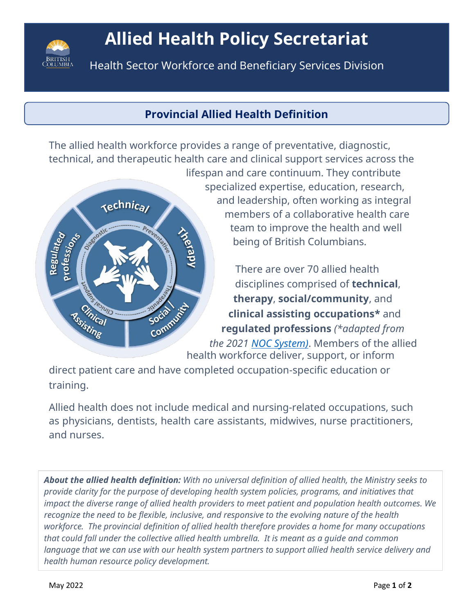

# **Allied Health Policy Secretariat**

**Allied** Services lth Sector Workforce and Beneficiary Division Health Sector Workforce and Beneficiary Services Division

# **Provincial Allied Health Definition**

The allied health workforce provides a range of preventative, diagnostic, technical, and therapeutic health care and clinical support services across the



lifespan and care continuum. They contribute specialized expertise, education, research, and leadership, often working as integral members of a collaborative health care team to improve the health and well being of British Columbians.

> There are over 70 allied health disciplines comprised of **technical**, **therapy**, **social/community**, and **clinical assisting occupations\*** and **regulated professions** *(\*adapted from*

*the 2021 [NOC System\)](https://noc.esdc.gc.ca/?GoCTemplateCulture=en-CA)*. Members of the allied health workforce deliver, support, or inform

direct patient care and have completed occupation-specific education or training.

Allied health does not include medical and nursing-related occupations, such as physicians, dentists, health care assistants, midwives, nurse practitioners, and nurses.

*About the allied health definition: With no universal definition of allied health, the Ministry seeks to provide clarity for the purpose of developing health system policies, programs, and initiatives that impact the diverse range of allied health providers to meet patient and population health outcomes. We recognize the need to be flexible, inclusive, and responsive to the evolving nature of the health workforce. The provincial definition of allied health therefore provides a home for many occupations that could fall under the collective allied health umbrella. It is meant as a guide and common language that we can use with our health system partners to support allied health service delivery and health human resource policy development.*